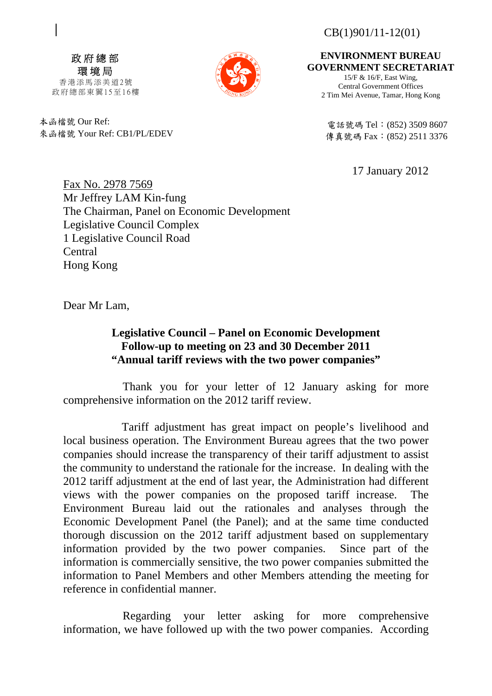CB(1)901/11-12(01)

政府總部 環境局 香港添馬添美道2號

政府總部東翼15至16樓

本函檔號 Our Ref: 來函檔號 Your Ref: CB1/PL/EDEV

**ENVIRONMENT BUREAU GOVERNMENT SECRETARIAT**

15/F & 16/F, East Wing, Central Government Offices 2 Tim Mei Avenue, Tamar, Hong Kong

電話號碼 Tel: (852) 3509 8607 傳真號碼 Fax: (852) 2511 3376

17 January 2012

Fax No. 2978 7569 Mr Jeffrey LAM Kin-fung The Chairman, Panel on Economic Development Legislative Council Complex 1 Legislative Council Road Central Hong Kong

Dear Mr Lam,

## **Legislative Council – Panel on Economic Development Follow-up to meeting on 23 and 30 December 2011 "Annual tariff reviews with the two power companies"**

 Thank you for your letter of 12 January asking for more comprehensive information on the 2012 tariff review.

 Tariff adjustment has great impact on people's livelihood and local business operation. The Environment Bureau agrees that the two power companies should increase the transparency of their tariff adjustment to assist the community to understand the rationale for the increase. In dealing with the 2012 tariff adjustment at the end of last year, the Administration had different views with the power companies on the proposed tariff increase. The Environment Bureau laid out the rationales and analyses through the Economic Development Panel (the Panel); and at the same time conducted thorough discussion on the 2012 tariff adjustment based on supplementary information provided by the two power companies. Since part of the information is commercially sensitive, the two power companies submitted the information to Panel Members and other Members attending the meeting for reference in confidential manner.

 Regarding your letter asking for more comprehensive information, we have followed up with the two power companies. According

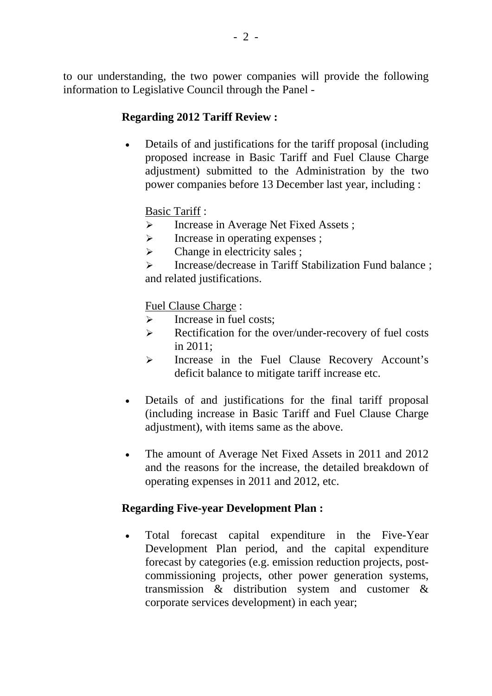## **Regarding 2012 Tariff Review :**

 Details of and justifications for the tariff proposal (including proposed increase in Basic Tariff and Fuel Clause Charge adjustment) submitted to the Administration by the two power companies before 13 December last year, including :

## Basic Tariff :

- > Increase in Average Net Fixed Assets;
- $\triangleright$  Increase in operating expenses ;
- $\triangleright$  Change in electricity sales ;
- > Increase/decrease in Tariff Stabilization Fund balance ; and related justifications.

Fuel Clause Charge :

- $\triangleright$  Increase in fuel costs;
- Executively Rectification for the over/under-recovery of fuel costs in 2011;
- Increase in the Fuel Clause Recovery Account's deficit balance to mitigate tariff increase etc.
- Details of and justifications for the final tariff proposal (including increase in Basic Tariff and Fuel Clause Charge adjustment), with items same as the above.
- The amount of Average Net Fixed Assets in 2011 and 2012 and the reasons for the increase, the detailed breakdown of operating expenses in 2011 and 2012, etc.

## **Regarding Five-year Development Plan :**

 Total forecast capital expenditure in the Five-Year Development Plan period, and the capital expenditure forecast by categories (e.g. emission reduction projects, postcommissioning projects, other power generation systems, transmission & distribution system and customer & corporate services development) in each year;